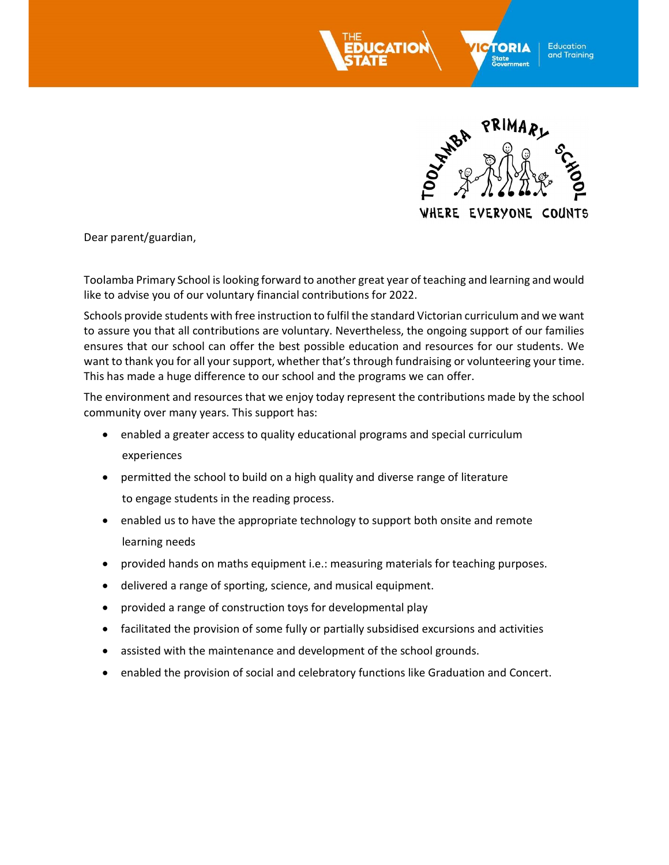



Dear parent/guardian,

Toolamba Primary School is looking forward to another great year of teaching and learning and would like to advise you of our voluntary financial contributions for 2022.

Schools provide students with free instruction to fulfil the standard Victorian curriculum and we want to assure you that all contributions are voluntary. Nevertheless, the ongoing support of our families ensures that our school can offer the best possible education and resources for our students. We want to thank you for all your support, whether that's through fundraising or volunteering your time. This has made a huge difference to our school and the programs we can offer.

The environment and resources that we enjoy today represent the contributions made by the school community over many years. This support has:

- enabled a greater access to quality educational programs and special curriculum experiences
- permitted the school to build on a high quality and diverse range of literature to engage students in the reading process.
- enabled us to have the appropriate technology to support both onsite and remote learning needs
- provided hands on maths equipment i.e.: measuring materials for teaching purposes.
- delivered a range of sporting, science, and musical equipment.
- provided a range of construction toys for developmental play
- facilitated the provision of some fully or partially subsidised excursions and activities
- assisted with the maintenance and development of the school grounds.
- enabled the provision of social and celebratory functions like Graduation and Concert.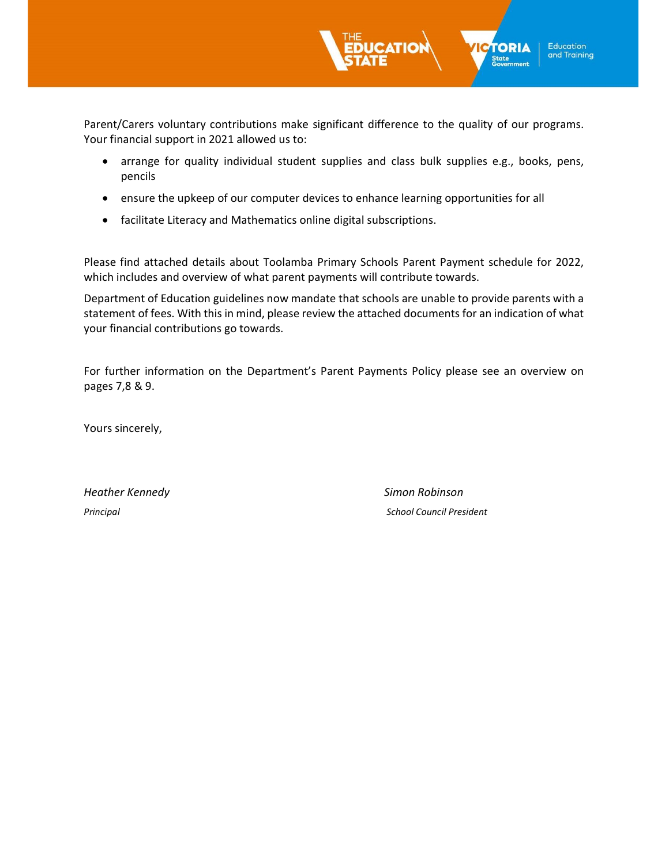Parent/Carers voluntary contributions make significant difference to the quality of our programs. Your financial support in 2021 allowed us to:

- arrange for quality individual student supplies and class bulk supplies e.g., books, pens, pencils
- ensure the upkeep of our computer devices to enhance learning opportunities for all
- facilitate Literacy and Mathematics online digital subscriptions.

Please find attached details about Toolamba Primary Schools Parent Payment schedule for 2022, which includes and overview of what parent payments will contribute towards.

Department of Education guidelines now mandate that schools are unable to provide parents with a statement of fees. With this in mind, please review the attached documents for an indication of what your financial contributions go towards.

For further information on the Department's Parent Payments Policy please see an overview on pages 7,8 & 9.

Yours sincerely,

Heather Kennedy **Simon Robinson** 

Principal School Council President

**TORIA** 

State<br>Government

**Education** and Training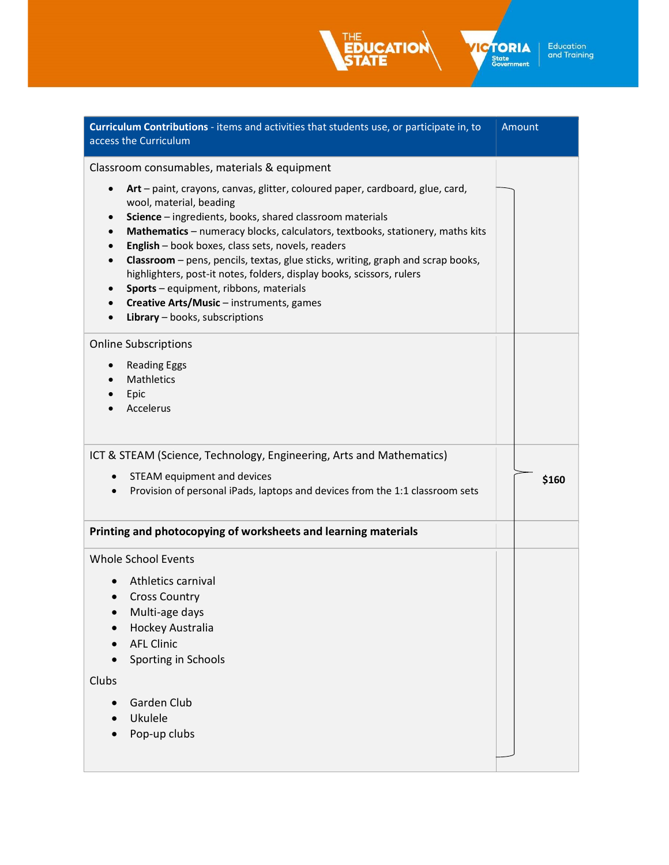Curriculum Contributions - items and activities that students use, or participate in, to access the Curriculum Amount Classroom consumables, materials & equipment Art – paint, crayons, canvas, glitter, coloured paper, cardboard, glue, card, wool, material, beading • Science – ingredients, books, shared classroom materials Mathematics – numeracy blocks, calculators, textbooks, stationery, maths kits **English** – book boxes, class sets, novels, readers • Classroom – pens, pencils, textas, glue sticks, writing, graph and scrap books, highlighters, post-it notes, folders, display books, scissors, rulers Sports – equipment, ribbons, materials Creative Arts/Music – instruments, games • Library – books, subscriptions Online Subscriptions • Reading Eggs Mathletics Epic Accelerus ICT & STEAM (Science, Technology, Engineering, Arts and Mathematics) • STEAM equipment and devices Provision of personal iPads, laptops and devices from the 1:1 classroom sets \$160 Printing and photocopying of worksheets and learning materials Whole School Events Athletics carnival • Cross Country Multi-age days Hockey Australia AFL Clinic • Sporting in Schools Clubs

**TORIA** 

S<mark>tate</mark><br>Government

**Education** and Training

- Garden Club
- Ukulele
- Pop-up clubs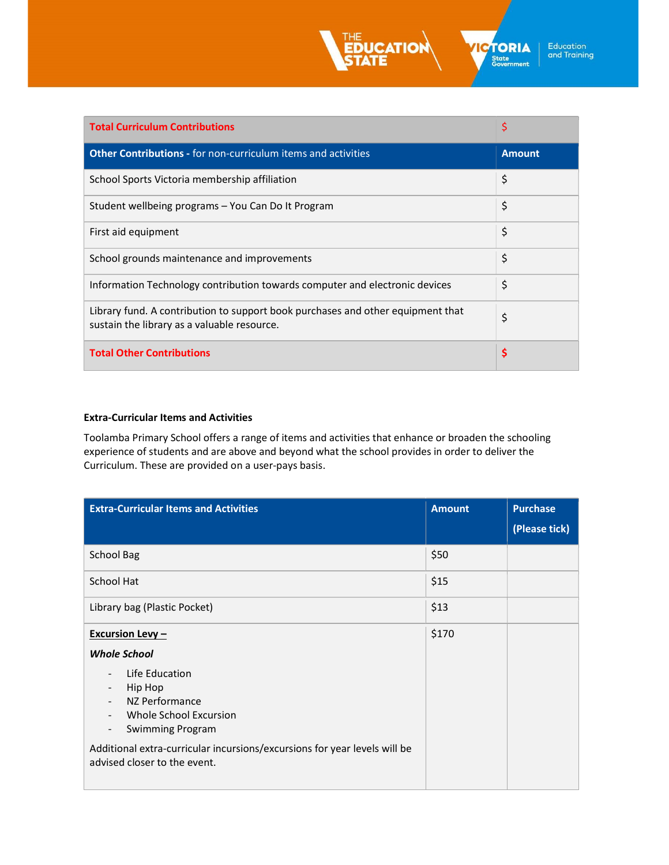

**ICTORIA** State<br>Government

| <b>Total Curriculum Contributions</b>                                                                                          | \$            |
|--------------------------------------------------------------------------------------------------------------------------------|---------------|
| <b>Other Contributions - for non-curriculum items and activities</b>                                                           | <b>Amount</b> |
| School Sports Victoria membership affiliation                                                                                  | \$            |
| Student wellbeing programs - You Can Do It Program                                                                             | \$            |
| First aid equipment                                                                                                            | \$            |
| School grounds maintenance and improvements                                                                                    | \$            |
| Information Technology contribution towards computer and electronic devices                                                    | \$            |
| Library fund. A contribution to support book purchases and other equipment that<br>sustain the library as a valuable resource. | \$            |
| <b>Total Other Contributions</b>                                                                                               | \$            |

### Extra-Curricular Items and Activities

Toolamba Primary School offers a range of items and activities that enhance or broaden the schooling experience of students and are above and beyond what the school provides in order to deliver the Curriculum. These are provided on a user-pays basis.

| <b>Extra-Curricular Items and Activities</b>                                                                                                                                                                                              | <b>Amount</b> | <b>Purchase</b> |
|-------------------------------------------------------------------------------------------------------------------------------------------------------------------------------------------------------------------------------------------|---------------|-----------------|
|                                                                                                                                                                                                                                           |               | (Please tick)   |
| <b>School Bag</b>                                                                                                                                                                                                                         | \$50          |                 |
| <b>School Hat</b>                                                                                                                                                                                                                         | \$15          |                 |
| Library bag (Plastic Pocket)                                                                                                                                                                                                              | \$13          |                 |
| <b>Excursion Levy-</b>                                                                                                                                                                                                                    | \$170         |                 |
| <b>Whole School</b>                                                                                                                                                                                                                       |               |                 |
| Life Education<br>Hip Hop<br>NZ Performance<br>Whole School Excursion<br><b>Swimming Program</b><br>$\overline{\phantom{a}}$<br>Additional extra-curricular incursions/excursions for year levels will be<br>advised closer to the event. |               |                 |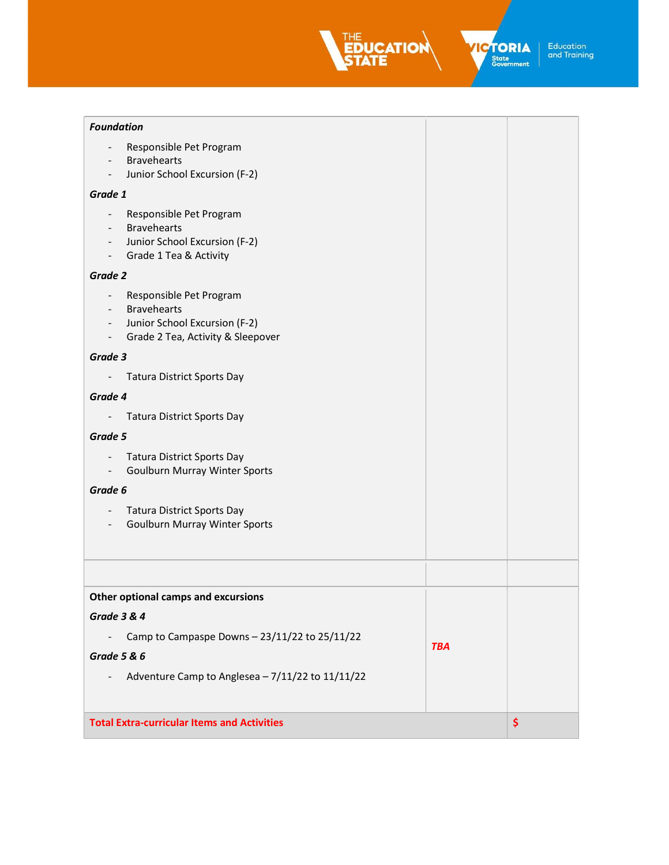EDUCATION

**ICTORIA** 

| <b>Foundation</b> |  |
|-------------------|--|

| Responsible Pet Program<br><b>Bravehearts</b>                                                                                                                                                                     |            |    |
|-------------------------------------------------------------------------------------------------------------------------------------------------------------------------------------------------------------------|------------|----|
| Junior School Excursion (F-2)<br>$\blacksquare$                                                                                                                                                                   |            |    |
| Grade 1                                                                                                                                                                                                           |            |    |
| Responsible Pet Program<br>$\blacksquare$<br><b>Bravehearts</b><br>$\overline{\phantom{a}}$<br>Junior School Excursion (F-2)<br>$\blacksquare$<br>Grade 1 Tea & Activity<br>$\overline{\phantom{a}}$              |            |    |
| Grade 2                                                                                                                                                                                                           |            |    |
| Responsible Pet Program<br>$\overline{\phantom{a}}$<br><b>Bravehearts</b><br>$\overline{\phantom{a}}$<br>Junior School Excursion (F-2)<br>$\sim$<br>Grade 2 Tea, Activity & Sleepover<br>$\overline{\phantom{a}}$ |            |    |
| Grade 3                                                                                                                                                                                                           |            |    |
| <b>Tatura District Sports Day</b>                                                                                                                                                                                 |            |    |
| Grade 4                                                                                                                                                                                                           |            |    |
| <b>Tatura District Sports Day</b>                                                                                                                                                                                 |            |    |
| Grade 5                                                                                                                                                                                                           |            |    |
| <b>Tatura District Sports Day</b><br>$\overline{\phantom{a}}$<br><b>Goulburn Murray Winter Sports</b><br>$\overline{\phantom{a}}$                                                                                 |            |    |
| Grade 6                                                                                                                                                                                                           |            |    |
| <b>Tatura District Sports Day</b><br><b>Goulburn Murray Winter Sports</b>                                                                                                                                         |            |    |
|                                                                                                                                                                                                                   |            |    |
| Other optional camps and excursions                                                                                                                                                                               |            |    |
| Grade 3 & 4                                                                                                                                                                                                       |            |    |
| Camp to Campaspe Downs - 23/11/22 to 25/11/22                                                                                                                                                                     | <b>TBA</b> |    |
| <b>Grade 5 &amp; 6</b>                                                                                                                                                                                            |            |    |
| Adventure Camp to Anglesea - 7/11/22 to 11/11/22                                                                                                                                                                  |            |    |
| <b>Total Extra-curricular Items and Activities</b>                                                                                                                                                                |            | \$ |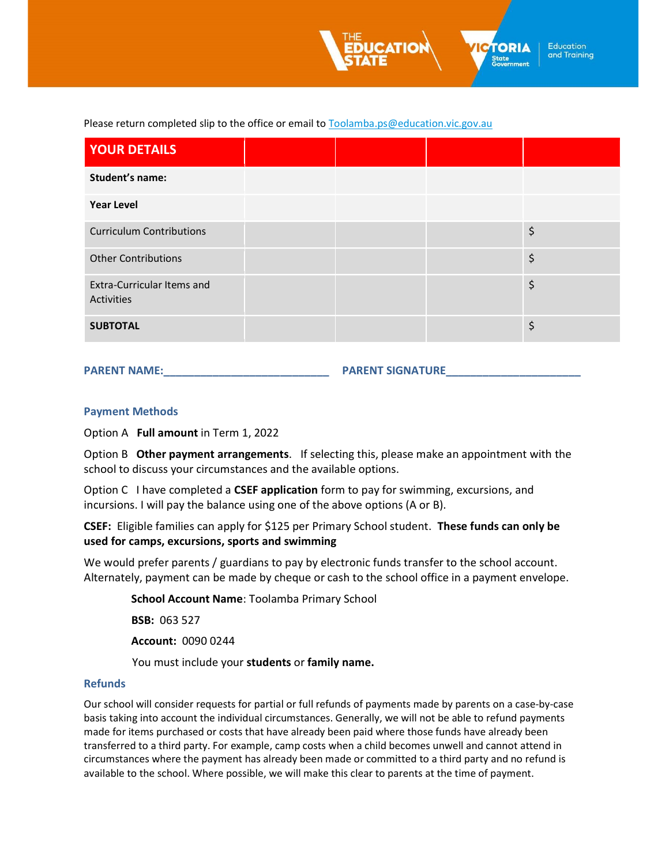**Education** and Training

**TORIA** 

State<br>Government

Please return completed slip to the office or email to Toolamba.ps@education.vic.gov.au

| <b>YOUR DETAILS</b>                                    |  |    |
|--------------------------------------------------------|--|----|
| Student's name:                                        |  |    |
| <b>Year Level</b>                                      |  |    |
| <b>Curriculum Contributions</b>                        |  | \$ |
| <b>Other Contributions</b>                             |  | \$ |
| <b>Extra-Curricular Items and</b><br><b>Activities</b> |  | \$ |
| <b>SUBTOTAL</b>                                        |  | \$ |

PARENT NAME:\_\_\_\_\_\_\_\_\_\_\_\_\_\_\_\_\_\_\_\_\_\_\_\_\_\_\_ PARENT SIGNATURE\_\_\_\_\_\_\_\_\_\_\_\_\_\_\_\_\_\_\_\_\_\_

#### Payment Methods

Option A Full amount in Term 1, 2022

Option B Other payment arrangements. If selecting this, please make an appointment with the school to discuss your circumstances and the available options.

Option C I have completed a CSEF application form to pay for swimming, excursions, and incursions. I will pay the balance using one of the above options (A or B).

CSEF: Eligible families can apply for \$125 per Primary School student. These funds can only be used for camps, excursions, sports and swimming

We would prefer parents / guardians to pay by electronic funds transfer to the school account. Alternately, payment can be made by cheque or cash to the school office in a payment envelope.

School Account Name: Toolamba Primary School

BSB: 063 527

Account: 0090 0244

You must include your students or family name.

#### Refunds

Our school will consider requests for partial or full refunds of payments made by parents on a case-by-case basis taking into account the individual circumstances. Generally, we will not be able to refund payments made for items purchased or costs that have already been paid where those funds have already been transferred to a third party. For example, camp costs when a child becomes unwell and cannot attend in circumstances where the payment has already been made or committed to a third party and no refund is available to the school. Where possible, we will make this clear to parents at the time of payment.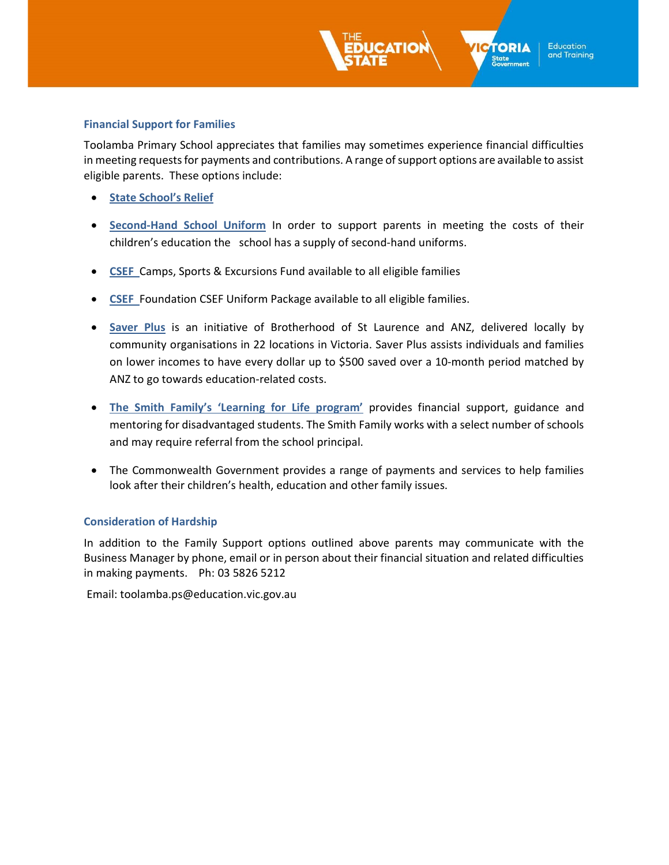### Financial Support for Families

Toolamba Primary School appreciates that families may sometimes experience financial difficulties in meeting requests for payments and contributions. A range of support options are available to assist eligible parents. These options include:

**TORIA** 

State<br>Government

**Education** and Training

- **State School's Relief**
- Second-Hand School Uniform In order to support parents in meeting the costs of their children's education the school has a supply of second-hand uniforms.
- CSEF Camps, Sports & Excursions Fund available to all eligible families
- CSEF Foundation CSEF Uniform Package available to all eligible families.
- Saver Plus is an initiative of Brotherhood of St Laurence and ANZ, delivered locally by community organisations in 22 locations in Victoria. Saver Plus assists individuals and families on lower incomes to have every dollar up to \$500 saved over a 10-month period matched by ANZ to go towards education-related costs.
- The Smith Family's 'Learning for Life program' provides financial support, guidance and mentoring for disadvantaged students. The Smith Family works with a select number of schools and may require referral from the school principal.
- The Commonwealth Government provides a range of payments and services to help families look after their children's health, education and other family issues.

## Consideration of Hardship

In addition to the Family Support options outlined above parents may communicate with the Business Manager by phone, email or in person about their financial situation and related difficulties in making payments. Ph: 03 5826 5212

Email: toolamba.ps@education.vic.gov.au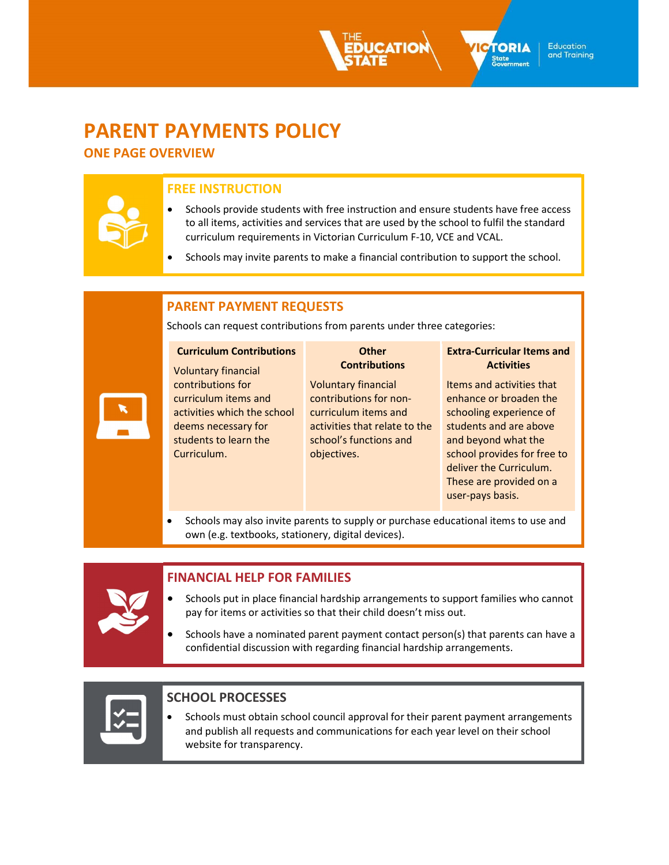# PARENT PAYMENTS POLICY

ONE PAGE OVERVIEW

## FREE INSTRUCTION

 Schools provide students with free instruction and ensure students have free access to all items, activities and services that are used by the school to fulfil the standard curriculum requirements in Victorian Curriculum F-10, VCE and VCAL.

**TORIA** 

S<mark>tate</mark><br>Government

**Education** and Training

Schools may invite parents to make a financial contribution to support the school.

## PARENT PAYMENT REQUESTS

Schools can request contributions from parents under three categories:

| <b>Curriculum Contributions</b> | <b>Other</b><br><b>Contributions</b> | <b>Extra-Curricular Items and</b><br><b>Activities</b> |
|---------------------------------|--------------------------------------|--------------------------------------------------------|
| <b>Voluntary financial</b>      |                                      |                                                        |
| contributions for               | <b>Voluntary financial</b>           | Items and activities that                              |
| curriculum items and            | contributions for non-               | enhance or broaden the                                 |
| activities which the school     | curriculum items and                 | schooling experience of                                |
| deems necessary for             | activities that relate to the        | students and are above                                 |
| students to learn the           | school's functions and               | and beyond what the                                    |
| Curriculum.                     | objectives.                          | school provides for free to                            |
|                                 |                                      | deliver the Curriculum.                                |
|                                 |                                      | These are provided on a                                |
|                                 |                                      | user-pays basis.                                       |
|                                 |                                      |                                                        |

• Schools may also invite parents to supply or purchase educational items to use and own (e.g. textbooks, stationery, digital devices).

# FINANCIAL HELP FOR FAMILIES

- Schools put in place financial hardship arrangements to support families who cannot pay for items or activities so that their child doesn't miss out.
- Schools have a nominated parent payment contact person(s) that parents can have a confidential discussion with regarding financial hardship arrangements.

# SCHOOL PROCESSES

• Schools must obtain school council approval for their parent payment arrangements and publish all requests and communications for each year level on their school website for transparency.